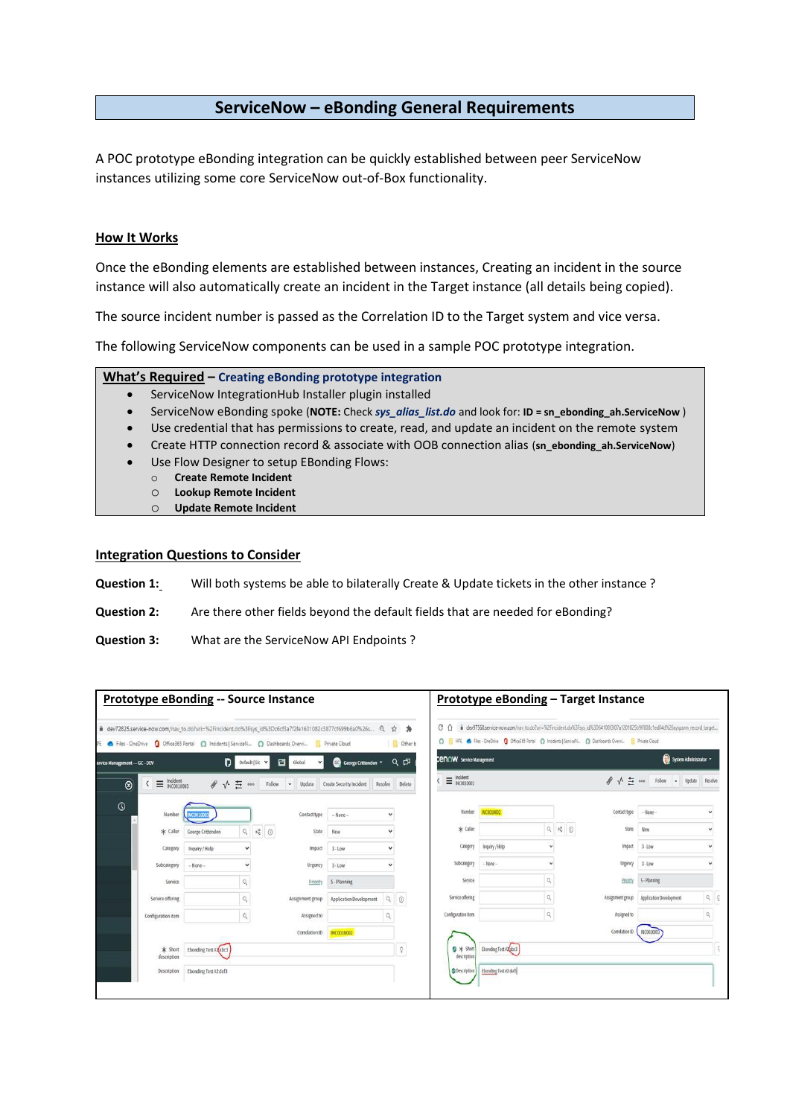## **ServiceNow – eBonding General Requirements**

A POC prototype eBonding integration can be quickly established between peer ServiceNow instances utilizing some core ServiceNow out-of-Box functionality.

### **How It Works**

Once the eBonding elements are established between instances, Creating an incident in the source instance will also automatically create an incident in the Target instance (all details being copied).

The source incident number is passed as the Correlation ID to the Target system and vice versa.

The following ServiceNow components can be used in a sample POC prototype integration.

### **What's Required – Creating eBonding prototype integration**

- ServiceNow IntegrationHub Installer plugin installed
- ServiceNow eBonding spoke (**NOTE:** Check *sys\_alias\_list.do* and look for: **ID = sn\_ebonding\_ah.ServiceNow** )
- Use credential that has permissions to create, read, and update an incident on the remote system
- Create HTTP connection record & associate with OOB connection alias (**sn\_ebonding\_ah.ServiceNow**)
- Use Flow Designer to setup EBonding Flows:
	- o **Create Remote Incident**
	- o **Lookup Remote Incident**
- o **Update Remote Incident**

#### **Integration Questions to Consider**

- **Question 1:** Will both systems be able to bilaterally Create & Update tickets in the other instance ?
- **Question 2:** Are there other fields beyond the default fields that are needed for eBonding?
- **Question 3:** What are the ServiceNow API Endpoints ?

| dev72825.service-now.com/nav_to.do?uri=%2Fincident.do%3Fsys_id%3Dc6cf3a7f2fe1601082c3877cf699b6a0%26s Q ☆                                                  |                       |                                |                             |                          |               | 奔                     | $C$ $\Omega$                    |                                                                                                               |                |                                 |                   | dev97568.service-now.com/nav_to.do?uri=%2Fincident.do%3Fsys_id%3D64108f3f07a1201025b9ff808c1ed04d%26sysparm_record_target |              |
|------------------------------------------------------------------------------------------------------------------------------------------------------------|-----------------------|--------------------------------|-----------------------------|--------------------------|---------------|-----------------------|---------------------------------|---------------------------------------------------------------------------------------------------------------|----------------|---------------------------------|-------------------|---------------------------------------------------------------------------------------------------------------------------|--------------|
| Files - OneDrive <b>Q</b> Office365 Portal <b>O</b> Incidents   ServiceN <b>O</b> Dashboards Overvi <b>P</b> Private Cloud<br>ervice Management - GC - DEV | D                     | Default (Glc V                 | 日<br>$\checkmark$<br>Global | George Crittenden        |               | Other b<br>$Q$ $\Box$ | <b>CENOW</b> Service Management | C HPE < Files - OneDrive ( Coffice365 Portal ( C) Incidents   ServiceN ( C) Dashboards Overvi   Private Cloud |                |                                 |                   | System Administrator *                                                                                                    |              |
| Incident<br>INC0010003<br>$\equiv$<br>$\circledR$<br>K                                                                                                     | タイミ                   | Follow<br>000                  | $-$ Update                  | Create Security Incident | Resolve       | Delete                | $\equiv$ Incident               |                                                                                                               |                |                                 | $\theta \vee \Xi$ | Follow - Update Resolve                                                                                                   |              |
| $\circ$<br>Number                                                                                                                                          | NC0010003             |                                | Contact type                | $-$ None $-$             | $\checkmark$  |                       | Number                          | INC0010002                                                                                                    |                |                                 | Contact type      | $-$ None $-$                                                                                                              | v            |
| * Caller                                                                                                                                                   | George Crittenden     | $Q_1 = p_0^2 \quad \text{(3)}$ | State                       | New                      | Ÿ             |                       | $*$ Caller                      |                                                                                                               | $\mathsf{Q}$   | $\nu_{\rm e}^a$ $\quad$ $\odot$ | State             | New                                                                                                                       |              |
| Category                                                                                                                                                   | Inquiry / Help        |                                | Impact                      | $3 - Low$                | v             |                       | Category                        | Inquiry / Help                                                                                                |                |                                 | Impact            | $3 - L$ ow                                                                                                                |              |
| Subcategory                                                                                                                                                | $-Mone$               |                                | Urgency                     | $3 - Low$                | ü             |                       | Subcategory                     | $-$ None $-$                                                                                                  |                |                                 | Urgency           | $3 -$ Low                                                                                                                 |              |
| Service                                                                                                                                                    |                       | Q                              | Priority                    | 5 - Planning             |               |                       | Service.                        |                                                                                                               | $\mathsf{Q}_i$ |                                 | Priority          | 5-Planning                                                                                                                |              |
| Service offering                                                                                                                                           |                       | $\mathsf{Q}$                   | Assignment group            | Application Development  | $\mathsf{Q}$  | $\odot$               | Service offering                |                                                                                                               | $\alpha$       |                                 | Assignment group  | Application Development                                                                                                   | $Q$ $Q$      |
| Configuration item                                                                                                                                         |                       | $\mathbb{Q}$                   | Assigned to                 |                          | $\mathbb{Q}$  |                       | Configuration item              |                                                                                                               | $\mathbb{Q}$   |                                 | Assigned to       |                                                                                                                           | $\mathbb{Q}$ |
|                                                                                                                                                            |                       |                                | Correlation ID              | INC0010002               |               |                       |                                 |                                                                                                               |                |                                 | Correlation ID    | INC0010003                                                                                                                |              |
| * Short<br>description                                                                                                                                     | Ebonding Test #2abc3  |                                |                             |                          |               | $\hat{\mathbf{V}}$    | $9 *$ Short<br>description      | Ebonding Test #2 abc3                                                                                         |                |                                 |                   |                                                                                                                           |              |
| <b>Description</b>                                                                                                                                         | Ebonding Test #2 def3 |                                |                             |                          | · Description | Ebonding Test #2 def3 |                                 |                                                                                                               |                |                                 |                   |                                                                                                                           |              |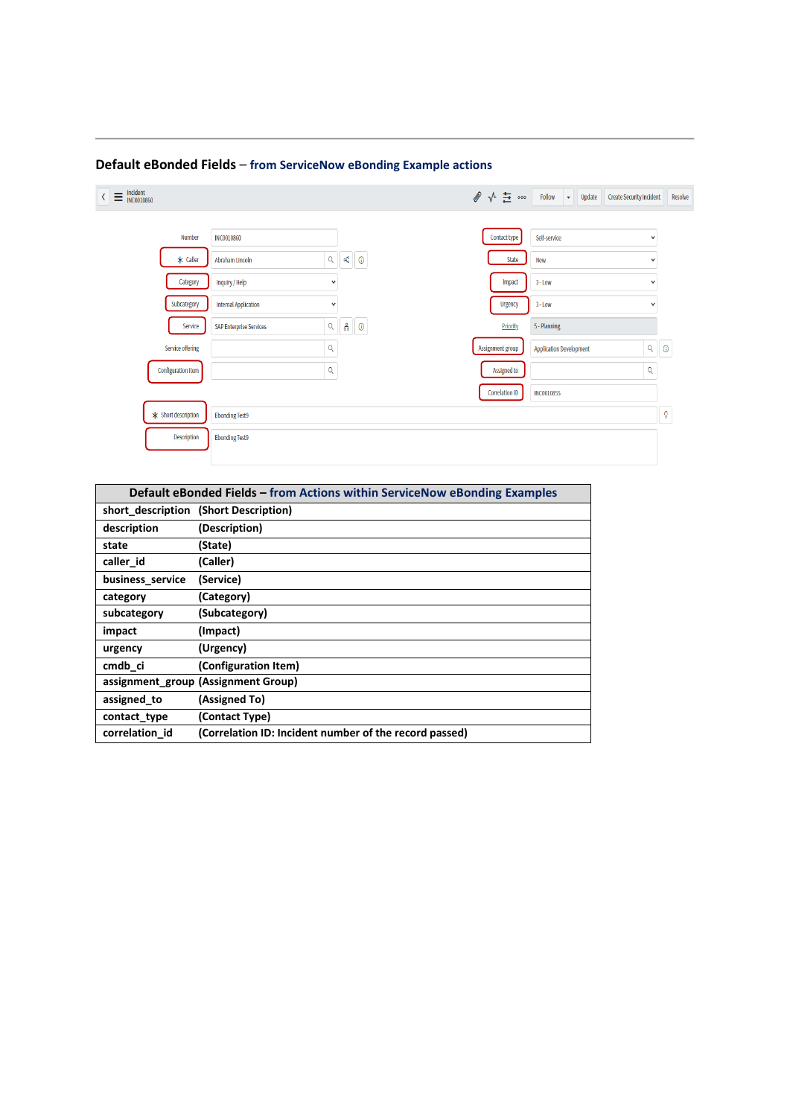| $\equiv \tfrac{\text{Incident}}{\text{INC0010860}}$<br>$\langle$ |                           |                                |                                             | ● √ 芑 …               | Follow<br>Update<br><b>Create Security Incident</b><br>$\star$ |              | Resolve    |
|------------------------------------------------------------------|---------------------------|--------------------------------|---------------------------------------------|-----------------------|----------------------------------------------------------------|--------------|------------|
|                                                                  | <b>Number</b>             | <b>INC0010860</b>              |                                             | Contact type          | Self-service                                                   | $\checkmark$ |            |
|                                                                  | $*$ Caller                | Abraham Lincoln                | $\mathsf{Q}^{\top}$<br>$\mathbb{H}^n_a$ (i) | State                 | New                                                            | $\checkmark$ |            |
|                                                                  | Category                  | Inquiry / Help                 | $\checkmark$                                | Impact                | $3 - Low$                                                      | $\checkmark$ |            |
|                                                                  | Subcategory               | <b>Internal Application</b>    | ٧                                           | Urgency               | $3 - Low$                                                      | $\checkmark$ |            |
|                                                                  | Service                   | <b>SAP Enterprise Services</b> | 볾<br>Q<br>$\circledcirc$                    | Priority              | 5 - Planning                                                   |              |            |
|                                                                  | Service offering          | Q                              |                                             | Assignment group      | <b>Application Development</b>                                 | $\alpha$     | $^{\circ}$ |
|                                                                  | <b>Configuration item</b> | Q                              |                                             | Assigned to           |                                                                | Q            |            |
|                                                                  |                           |                                |                                             | <b>Correlation ID</b> | <b>INC0010855</b>                                              |              |            |
|                                                                  | * Short description       | <b>Ebonding Test9</b>          |                                             |                       |                                                                |              | Q          |
|                                                                  | Description               | <b>Ebonding Test9</b>          |                                             |                       |                                                                |              |            |
|                                                                  |                           |                                |                                             |                       |                                                                |              |            |

# **Default eBonded Fields** – **from ServiceNow eBonding Example actions**

| Default eBonded Fields – from Actions within ServiceNow eBonding Examples |                                                        |  |  |  |  |
|---------------------------------------------------------------------------|--------------------------------------------------------|--|--|--|--|
|                                                                           | short description (Short Description)                  |  |  |  |  |
| description                                                               | (Description)                                          |  |  |  |  |
| state                                                                     | (State)                                                |  |  |  |  |
| caller id                                                                 | (Caller)                                               |  |  |  |  |
| business service                                                          | (Service)                                              |  |  |  |  |
| category                                                                  | (Category)                                             |  |  |  |  |
| subcategory                                                               | (Subcategory)                                          |  |  |  |  |
| impact                                                                    | (Impact)                                               |  |  |  |  |
| urgency                                                                   | (Urgency)                                              |  |  |  |  |
| cmdb ci                                                                   | (Configuration Item)                                   |  |  |  |  |
|                                                                           | assignment group (Assignment Group)                    |  |  |  |  |
| assigned to                                                               | (Assigned To)                                          |  |  |  |  |
| contact type                                                              | (Contact Type)                                         |  |  |  |  |
| correlation id                                                            | (Correlation ID: Incident number of the record passed) |  |  |  |  |